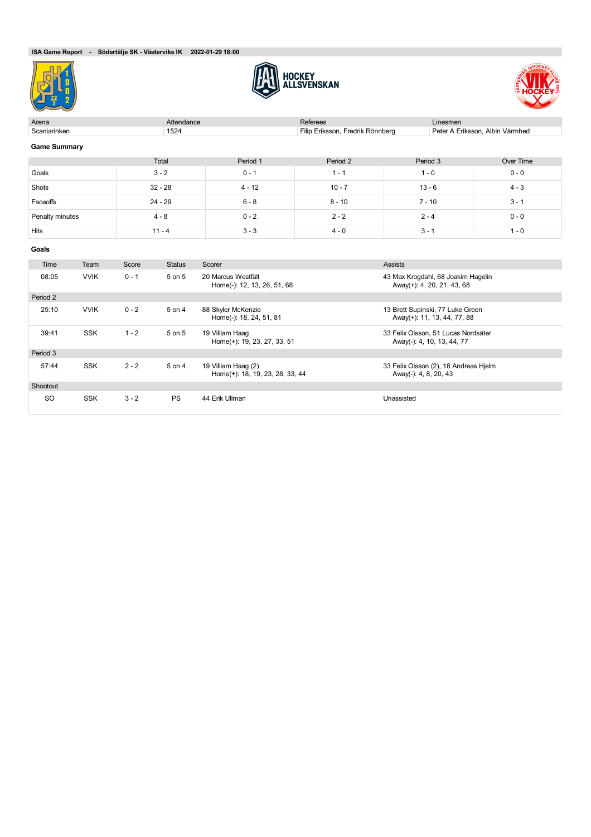





| Arena               |             |                    | Attendance         |                                                        | <b>Referees</b>                  | Linesmen                                                          |                                 |  |
|---------------------|-------------|--------------------|--------------------|--------------------------------------------------------|----------------------------------|-------------------------------------------------------------------|---------------------------------|--|
| Scaniarinken        |             |                    | 1524               |                                                        | Filip Eriksson, Fredrik Rönnberg |                                                                   | Peter A Eriksson, Albin Värmhed |  |
| <b>Game Summary</b> |             |                    |                    |                                                        |                                  |                                                                   |                                 |  |
|                     |             |                    | Total              | Period 1                                               | Period 2                         | Period 3                                                          | Over Time                       |  |
| Goals               |             |                    | $3 - 2$<br>$0 - 1$ |                                                        | $1 - 1$                          | $1 - 0$                                                           | $0 - 0$                         |  |
| Shots               |             |                    | $32 - 28$          | $4 - 12$                                               | $10 - 7$                         | $13 - 6$                                                          | $4 - 3$                         |  |
| Faceoffs            |             |                    | $24 - 29$          | $6 - 8$                                                | $8 - 10$                         | $7 - 10$                                                          | $3 - 1$                         |  |
| Penalty minutes     |             | $0 - 2$<br>$4 - 8$ |                    |                                                        | $2 - 2$                          | $2 - 4$                                                           | $0 - 0$                         |  |
| Hits                |             |                    | $11 - 4$           | $3 - 3$                                                | $4 - 0$                          | $3 - 1$                                                           | $1 - 0$                         |  |
| Goals               |             |                    |                    |                                                        |                                  |                                                                   |                                 |  |
| Time                | Team        | Score              | <b>Status</b>      | Scorer                                                 |                                  | <b>Assists</b>                                                    |                                 |  |
| 08:05               | <b>VVIK</b> | $0 - 1$            | 5 on 5             | 20 Marcus Westfält<br>Home(-): 12, 13, 26, 51, 68      |                                  | 43 Max Krogdahl, 68 Joakim Hagelin<br>Away(+): 4, 20, 21, 43, 68  |                                 |  |
| Period 2            |             |                    |                    |                                                        |                                  |                                                                   |                                 |  |
| 25:10               | <b>VVIK</b> | $0 - 2$            | 5 on 4             | 88 Skyler McKenzie<br>Home(-): 18, 24, 51, 81          |                                  | 13 Brett Supinski, 77 Luke Green<br>Away(+): 11, 13, 44, 77, 88   |                                 |  |
| 39:41               | <b>SSK</b>  | $1 - 2$            | 5 on 5             | 19 Villiam Haag<br>Home(+): 19, 23, 27, 33, 51         |                                  | 33 Felix Olsson, 51 Lucas Nordsäter<br>Away(-): 4, 10, 13, 44, 77 |                                 |  |
| Period 3            |             |                    |                    |                                                        |                                  |                                                                   |                                 |  |
| 57:44               | <b>SSK</b>  | $2 - 2$            | 5 on 4             | 19 Villiam Haag (2)<br>Home(+): 18, 19, 23, 28, 33, 44 |                                  | 33 Felix Olsson (2), 18 Andreas Hjelm<br>Away(-): 4, 8, 20, 43    |                                 |  |
| Shootout            |             |                    |                    |                                                        |                                  |                                                                   |                                 |  |
| <b>SO</b>           | <b>SSK</b>  | $3 - 2$            | <b>PS</b>          | 44 Erik Ullman                                         |                                  | Unassisted                                                        |                                 |  |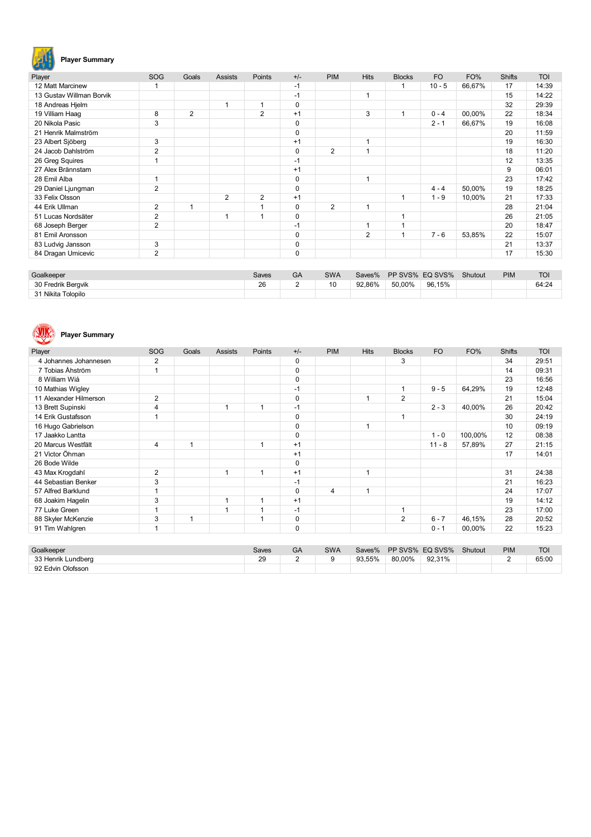

# **Player Summary**

| Player                   | <b>SOG</b>     | Goals          | <b>Assists</b> | Points         | $+/-$       | <b>PIM</b>     | <b>Hits</b> | <b>Blocks</b> | <b>FO</b> | FO%    | <b>Shifts</b> | <b>TOI</b> |
|--------------------------|----------------|----------------|----------------|----------------|-------------|----------------|-------------|---------------|-----------|--------|---------------|------------|
| 12 Matt Marcinew         |                |                |                |                | $-1$        |                |             |               | $10 - 5$  | 66.67% | 17            | 14:39      |
| 13 Gustav Willman Borvik |                |                |                |                | $-1$        |                | 1           |               |           |        | 15            | 14:22      |
| 18 Andreas Hjelm         |                |                | 1              |                | 0           |                |             |               |           |        | 32            | 29:39      |
| 19 Villiam Haag          | 8              | $\overline{2}$ |                | $\overline{2}$ | $+1$        |                | 3           |               | $0 - 4$   | 00,00% | 22            | 18:34      |
| 20 Nikola Pasic          | 3              |                |                |                | 0           |                |             |               | $2 - 1$   | 66,67% | 19            | 16:08      |
| 21 Henrik Malmström      |                |                |                |                | 0           |                |             |               |           |        | 20            | 11:59      |
| 23 Albert Sjöberg        | 3              |                |                |                | $+1$        |                | 1           |               |           |        | 19            | 16:30      |
| 24 Jacob Dahlström       | 2              |                |                |                | $\mathbf 0$ | $\overline{2}$ | 4           |               |           |        | 18            | 11:20      |
| 26 Greg Squires          |                |                |                |                | $-1$        |                |             |               |           |        | 12            | 13:35      |
| 27 Alex Brännstam        |                |                |                |                | $+1$        |                |             |               |           |        | 9             | 06:01      |
| 28 Emil Alba             |                |                |                |                | 0           |                | 1           |               |           |        | 23            | 17:42      |
| 29 Daniel Ljungman       | 2              |                |                |                | 0           |                |             |               | $4 - 4$   | 50,00% | 19            | 18:25      |
| 33 Felix Olsson          |                |                | $\overline{2}$ | $\overline{2}$ | $+1$        |                |             |               | $1 - 9$   | 10,00% | 21            | 17:33      |
| 44 Erik Ullman           | 2              | 1              |                |                | 0           | $\overline{2}$ | 1           |               |           |        | 28            | 21:04      |
| 51 Lucas Nordsäter       | $\overline{2}$ |                | 1              |                | 0           |                |             |               |           |        | 26            | 21:05      |
| 68 Joseph Berger         | $\overline{2}$ |                |                |                | $-1$        |                | 1           |               |           |        | 20            | 18:47      |
| 81 Emil Aronsson         |                |                |                |                | 0           |                | 2           |               | $7 - 6$   | 53,85% | 22            | 15:07      |
| 83 Ludvig Jansson        | 3              |                |                |                | 0           |                |             |               |           |        | 21            | 13:37      |
| 84 Dragan Umicevic       | 2              |                |                |                | $\mathbf 0$ |                |             |               |           |        | 17            | 15:30      |

| Goalkeeper         | Saves | GA | <b>SWA</b> | Saves% |        | PP SVS% EQ SVS% | Shutout | <b>PIM</b> | <b>TOI</b> |
|--------------------|-------|----|------------|--------|--------|-----------------|---------|------------|------------|
| 30 Fredrik Beravik | 26    | -  | 10         | 92.86% | 50.00% | 96.15%          |         |            | 64:24      |
| 31 Nikita Tolopilo |       |    |            |        |        |                 |         |            |            |



# **Player Summary**

| Player                 | SOG            | Goals | <b>Assists</b> | Points | $+/-$       | <b>PIM</b> | <b>Hits</b> | <b>Blocks</b>  | <b>FO</b> | FO%     | <b>Shifts</b> | <b>TOI</b> |
|------------------------|----------------|-------|----------------|--------|-------------|------------|-------------|----------------|-----------|---------|---------------|------------|
| 4 Johannes Johannesen  | 2              |       |                |        | 0           |            |             | 3              |           |         | 34            | 29:51      |
| 7 Tobias Åhström       |                |       |                |        | $\mathbf 0$ |            |             |                |           |         | 14            | 09:31      |
| 8 William Wiå          |                |       |                |        | $\mathbf 0$ |            |             |                |           |         | 23            | 16:56      |
| 10 Mathias Wigley      |                |       |                |        | $-1$        |            |             |                | $9 - 5$   | 64,29%  | 19            | 12:48      |
| 11 Alexander Hilmerson | 2              |       |                |        | $\mathbf 0$ |            |             | 2              |           |         | 21            | 15:04      |
| 13 Brett Supinski      | $\overline{4}$ |       | 1              | 1      | $-1$        |            |             |                | $2 - 3$   | 40,00%  | 26            | 20:42      |
| 14 Erik Gustafsson     |                |       |                |        | 0           |            |             | 1              |           |         | 30            | 24:19      |
| 16 Hugo Gabrielson     |                |       |                |        | $\mathbf 0$ |            | 1           |                |           |         | 10            | 09:19      |
| 17 Jaakko Lantta       |                |       |                |        | $\mathbf 0$ |            |             |                | $1 - 0$   | 100,00% | 12            | 08:38      |
| 20 Marcus Westfält     | $\overline{4}$ | 1     |                | 1      | $+1$        |            |             |                | $11 - 8$  | 57,89%  | 27            | 21:15      |
| 21 Victor Öhman        |                |       |                |        | $+1$        |            |             |                |           |         | 17            | 14:01      |
| 26 Bode Wilde          |                |       |                |        | 0           |            |             |                |           |         |               |            |
| 43 Max Krogdahl        | $\overline{2}$ |       | 1              | 1      | $+1$        |            | 1           |                |           |         | 31            | 24:38      |
| 44 Sebastian Benker    | 3              |       |                |        | $-1$        |            |             |                |           |         | 21            | 16:23      |
| 57 Alfred Barklund     |                |       |                |        | $\mathbf 0$ | 4          | 1           |                |           |         | 24            | 17:07      |
| 68 Joakim Hagelin      | 3              |       | 1              | 1      | $+1$        |            |             |                |           |         | 19            | 14:12      |
| 77 Luke Green          |                |       | 1              | 1      | $-1$        |            |             | 1              |           |         | 23            | 17:00      |
| 88 Skyler McKenzie     | 3              | 1     |                | 1      | $\pmb{0}$   |            |             | $\overline{2}$ | $6 - 7$   | 46,15%  | 28            | 20:52      |
| 91 Tim Wahlgren        |                |       |                |        | $\mathbf 0$ |            |             |                | $0 - 1$   | 00,00%  | 22            | 15:23      |

| Goalkeeper         | Saves | GΑ | <b>SWA</b> | Saves% |        | PP SVS% EQ SVS% | Shutout | <b>PIM</b> | <b>TOI</b> |
|--------------------|-------|----|------------|--------|--------|-----------------|---------|------------|------------|
| 33 Henrik Lundberg | 29    |    | a          | 93.55% | 80.00% | 92.31%          |         |            | 65:00      |
| 92 Edvin Olofsson  |       |    |            |        |        |                 |         |            |            |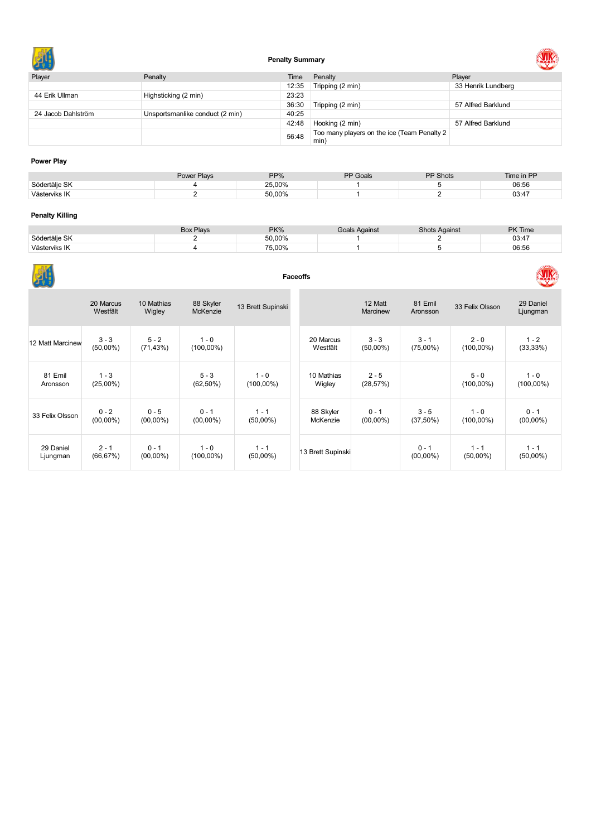

# **Penalty Summary**



| Player             | Penalty                         | Time  | Penalty                                             | Player             |
|--------------------|---------------------------------|-------|-----------------------------------------------------|--------------------|
|                    |                                 | 12:35 | Tripping (2 min)                                    | 33 Henrik Lundberg |
| 44 Erik Ullman     | Highsticking (2 min)            | 23:23 |                                                     |                    |
|                    |                                 | 36:30 | Tripping (2 min)                                    | 57 Alfred Barklund |
| 24 Jacob Dahlström | Unsportsmanlike conduct (2 min) | 40:25 |                                                     |                    |
|                    |                                 | 42:48 | Hooking (2 min)                                     | 57 Alfred Barklund |
|                    |                                 | 56:48 | Too many players on the ice (Team Penalty 2<br>min) |                    |

### **Power Play**

| 25.00%<br>Södertälie SK | 06:56 |
|-------------------------|-------|
| 50.00%<br>Västerviks IK | 03:47 |

# **Penalty Killing**

|               | <b>Box Plays</b> | PK%    | Goals Against | <b>Shots Against</b> | <b>PK Time</b> |
|---------------|------------------|--------|---------------|----------------------|----------------|
| Södertälie SK |                  | 50,00% |               |                      | 03:47          |
| Västerviks IK |                  | 75,00% |               |                      | 06:56          |

|                       | <b>Faceoffs</b>        |                        |                         |                         |                       |                        |                        |                         |                         |  |  |
|-----------------------|------------------------|------------------------|-------------------------|-------------------------|-----------------------|------------------------|------------------------|-------------------------|-------------------------|--|--|
|                       | 20 Marcus<br>Westfält  | 10 Mathias<br>Wigley   | 88 Skyler<br>McKenzie   | 13 Brett Supinski       |                       | 12 Matt<br>Marcinew    | 81 Emil<br>Aronsson    | 33 Felix Olsson         | 29 Daniel<br>Ljungman   |  |  |
| 12 Matt Marcinew      | $3 - 3$<br>$(50,00\%)$ | $5 - 2$<br>(71, 43%)   | $1 - 0$<br>$(100,00\%)$ |                         | 20 Marcus<br>Westfält | $3 - 3$<br>$(50,00\%)$ | $3 - 1$<br>$(75,00\%)$ | $2 - 0$<br>$(100,00\%)$ | $1 - 2$<br>(33, 33%)    |  |  |
| 81 Emil<br>Aronsson   | $1 - 3$<br>$(25,00\%)$ |                        | $5 - 3$<br>$(62, 50\%)$ | $1 - 0$<br>$(100,00\%)$ | 10 Mathias<br>Wigley  | $2 - 5$<br>(28, 57%)   |                        | $5 - 0$<br>$(100,00\%)$ | $1 - 0$<br>$(100,00\%)$ |  |  |
| 33 Felix Olsson       | $0 - 2$<br>$(00,00\%)$ | $0 - 5$<br>$(00,00\%)$ | $0 - 1$<br>$(00,00\%)$  | $1 - 1$<br>$(50,00\%)$  | 88 Skyler<br>McKenzie | $0 - 1$<br>$(00,00\%)$ | $3 - 5$<br>$(37,50\%)$ | $1 - 0$<br>$(100,00\%)$ | $0 - 1$<br>$(00,00\%)$  |  |  |
| 29 Daniel<br>Ljungman | $2 - 1$<br>(66, 67%)   | $0 - 1$<br>$(00,00\%)$ | $1 - 0$<br>$(100,00\%)$ | $1 - 1$<br>$(50,00\%)$  | 13 Brett Supinski     |                        | $0 - 1$<br>$(00,00\%)$ | $1 - 1$<br>$(50,00\%)$  | $1 - 1$<br>$(50,00\%)$  |  |  |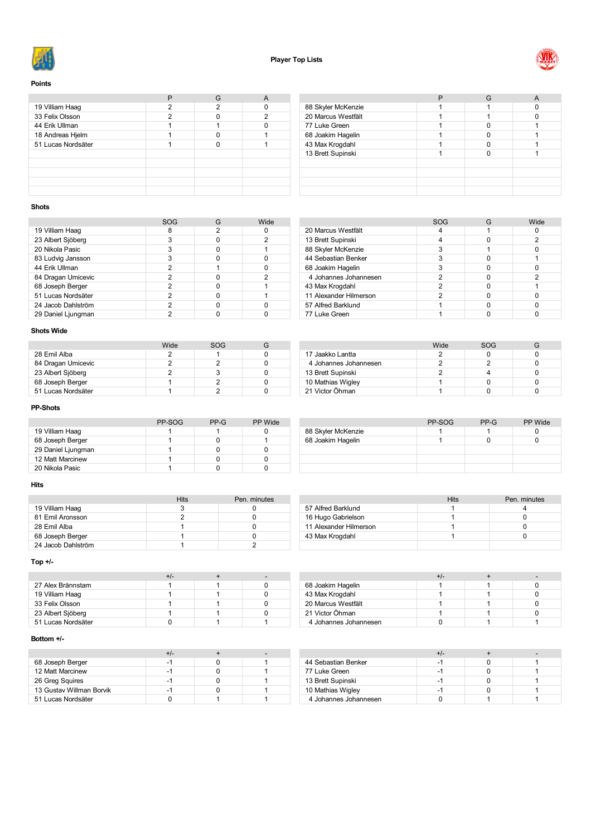



#### **Points**

| 19 Villiam Haag    | 2 | 2 |   |
|--------------------|---|---|---|
| 33 Felix Olsson    | っ |   | ∩ |
| 44 Erik Ullman     |   |   |   |
| 18 Andreas Hjelm   |   |   |   |
| 51 Lucas Nordsäter |   |   |   |
|                    |   |   |   |
|                    |   |   |   |
|                    |   |   |   |
|                    |   |   |   |
|                    |   |   |   |

| 88 Skyler McKenzie |  |  |
|--------------------|--|--|
| 20 Marcus Westfält |  |  |
| 77 Luke Green      |  |  |
| 68 Joakim Hagelin  |  |  |
| 43 Max Krogdahl    |  |  |
| 13 Brett Supinski  |  |  |
|                    |  |  |
|                    |  |  |
|                    |  |  |
|                    |  |  |

### **Shots**

|                    | SOG | G | Wide |
|--------------------|-----|---|------|
| 19 Villiam Haag    | 8   | 2 |      |
| 23 Albert Sjöberg  | 3   |   | 2    |
| 20 Nikola Pasic    | 3   |   |      |
| 83 Ludvig Jansson  | 3   |   |      |
| 44 Erik Ullman     | 2   |   |      |
| 84 Dragan Umicevic | 2   |   | 2    |
| 68 Joseph Berger   | 2   |   |      |
| 51 Lucas Nordsäter | 2   |   |      |
| 24 Jacob Dahlström | 2   |   |      |
| 29 Daniel Ljungman | 2   |   |      |

#### SOG G Wide<br>4 1 0 20 Marcus Westfält 1 1 0<br>13 Brett Supinski 1 4 0 2 13 Brett Supinski 13 April 13 Brett Supinski 14 April 13 April 13 April 14 April 14 April 14 April 14 April 14 April 14 April 14 April 14 April 14 April 14 April 14 April 14 April 14 April 14 April 14 April 14 April 14 Apr 88 Skyler McKenzie **3** 1 0 0 44 Sebastian Benker 1980 and 1980 and 1980 and 1980 and 1980 and 1980 and 1980 and 1980 and 1980 and 1980 and 1 68 Joakim Hagelin 1992<br>
19 Johannes Johannesen 1992<br>
19 Johannes Johannesen 1992<br>
19 Johannes Johannesen 1992 4 Johannes Johannesen Max Krogdahl 2 0 1 11 Alexander Hilmerson 2 0 0 0<br>57 Alfred Barklund 1 0 0 0 57 Alfred Barklund 1 0 77 Luke Green 1 1 0 0

### **Shots Wide**

|                    | Wide | SOG |  |
|--------------------|------|-----|--|
| 28 Emil Alba       |      |     |  |
| 84 Dragan Umicevic |      |     |  |
| 23 Albert Sjöberg  |      |     |  |
| 68 Joseph Berger   |      |     |  |
| 51 Lucas Nordsäter |      |     |  |

### **PP-Shots**

|                    | PP-SOG | PP-G | PP Wide |
|--------------------|--------|------|---------|
| 19 Villiam Haag    |        |      |         |
| 68 Joseph Berger   |        |      |         |
| 29 Daniel Ljungman |        |      |         |
| 12 Matt Marcinew   |        |      |         |
| 20 Nikola Pasic    |        |      |         |

#### **Hits**

|                    | <b>Hits</b> | Pen. minutes |
|--------------------|-------------|--------------|
| 19 Villiam Haag    |             |              |
| 81 Emil Aronsson   |             |              |
| 28 Emil Alba       |             |              |
| 68 Joseph Berger   |             |              |
| 24 Jacob Dahlström |             |              |
|                    |             |              |

# **Top +/-**

|                    | +/- |  |
|--------------------|-----|--|
| 27 Alex Brännstam  |     |  |
| 19 Villiam Haag    |     |  |
| 33 Felix Olsson    |     |  |
| 23 Albert Sjöberg  |     |  |
| 51 Lucas Nordsäter |     |  |

#### **Bottom +/-**

| 68 Joseph Berger         | -1 |  |
|--------------------------|----|--|
| 12 Matt Marcinew         | -1 |  |
| 26 Greg Squires          | -1 |  |
| 13 Gustav Willman Borvik | -  |  |
| 51 Lucas Nordsäter       |    |  |

|                       | Wide | SOG |  |
|-----------------------|------|-----|--|
| 17 Jaakko Lantta      |      |     |  |
| 4 Johannes Johannesen |      |     |  |
| 13 Brett Supinski     |      |     |  |
| 10 Mathias Wigley     |      |     |  |
| 21 Victor Öhman       |      |     |  |
|                       |      |     |  |

|                    | PP-SOG | $PP-G$ | PP Wide |
|--------------------|--------|--------|---------|
| 88 Skyler McKenzie |        |        |         |
| 68 Joakim Hagelin  |        |        |         |
|                    |        |        |         |
|                    |        |        |         |
|                    |        |        |         |

|                        | Hits | Pen. minutes |
|------------------------|------|--------------|
| 57 Alfred Barklund     |      |              |
| 16 Hugo Gabrielson     |      |              |
| 11 Alexander Hilmerson |      |              |
| 43 Max Krogdahl        |      |              |
|                        |      |              |

|                       | +/- |  |
|-----------------------|-----|--|
| 68 Joakim Hagelin     |     |  |
| 43 Max Krogdahl       |     |  |
| 20 Marcus Westfält    |     |  |
| 21 Victor Öhman       |     |  |
| 4 Johannes Johannesen |     |  |

|                       | +/- |  |
|-----------------------|-----|--|
| 44 Sebastian Benker   | -1  |  |
| 77 Luke Green         | -1  |  |
| 13 Brett Supinski     | -1  |  |
| 10 Mathias Wigley     | -1  |  |
| 4 Johannes Johannesen |     |  |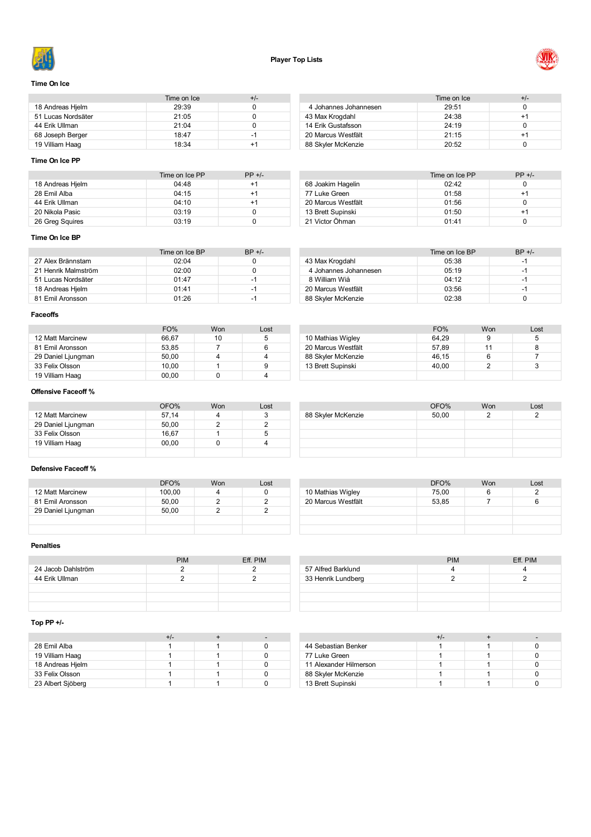



### **Time On Ice**

|                    | Time on Ice | +/- |
|--------------------|-------------|-----|
| 18 Andreas Hielm   | 29:39       |     |
| 51 Lucas Nordsäter | 21:05       |     |
| 44 Erik Ullman     | 21:04       |     |
| 68 Joseph Berger   | 18.47       | -1  |
| 19 Villiam Haag    | 18:34       | +1  |

#### Time on Ice  $+/-$ <br>29:51 0 Johannes Johannesen 29:51 0 43 Max Krogdahl 24:38 +1<br>14 Erik Gustafsson 24:19 0 14 Erik Gustafsson 24:19<br>20 Marcus Westfält 21:15 Marcus Westfält 21:15 +1 88 Skyler McKenzie 20:52 0

#### **Time On Ice PP**

|                  | Time on Ice PP | $PP +/-$ |
|------------------|----------------|----------|
| 18 Andreas Hjelm | 04.48          | $+1$     |
| 28 Emil Alba     | 04:15          | $+1$     |
| 44 Erik Ullman   | 04:10          | $+1$     |
| 20 Nikola Pasic  | 03:19          |          |
| 26 Greg Squires  | 03:19          |          |

|                    | Time on Ice PP | $PP +/-$ |
|--------------------|----------------|----------|
| 68 Joakim Hagelin  | 02.42          | 0        |
| 77 Luke Green      | 01:58          | $+1$     |
| 20 Marcus Westfält | 01:56          | 0        |
| 13 Brett Supinski  | 01:50          | $+1$     |
| 21 Victor Öhman    | 01.41          |          |

#### **Time On Ice BP**

|                     | Time on Ice BP | $BP +/-$ |
|---------------------|----------------|----------|
| 27 Alex Brännstam   | 02.04          |          |
| 21 Henrik Malmström | 02:00          |          |
| 51 Lucas Nordsäter  | 01.47          | -1       |
| 18 Andreas Hielm    | 01.41          | -1       |
| 81 Emil Aronsson    | 01.26          | -1       |

|                       | Time on Ice BP | $BP +/-$ |
|-----------------------|----------------|----------|
| 43 Max Krogdahl       | 05:38          | -1       |
| 4 Johannes Johannesen | 05:19          | -1       |
| 8 William Wiå         | 04.12          | -1       |
| 20 Marcus Westfält    | 03:56          | -1       |
| 88 Skyler McKenzie    | 02:38          |          |

#### **Faceoffs**

|                    | FO%   | Won | Lost |   |
|--------------------|-------|-----|------|---|
| 12 Matt Marcinew   | 66.67 | 10  | 5    |   |
| 81 Emil Aronsson   | 53.85 |     |      | 2 |
| 29 Daniel Ljungman | 50.00 |     |      | 8 |
| 33 Felix Olsson    | 10.00 |     |      |   |
| 19 Villiam Haag    | 00.00 |     |      |   |

|                    | FO%   | Won | _ost |
|--------------------|-------|-----|------|
| 10 Mathias Wigley  | 64.29 | 9   | 5    |
| 20 Marcus Westfält | 57.89 | 11  |      |
| 88 Skyler McKenzie | 46.15 | 6   |      |
| 13 Brett Supinski  | 40.00 |     |      |
|                    |       |     |      |

88 Skyler McKenzie

OFO% Won Lost<br>50,00 2 2

### **Offensive Faceoff %**

|                    | OFO%  | Won | Lost |
|--------------------|-------|-----|------|
| 12 Matt Marcinew   | 57.14 |     | з    |
| 29 Daniel Ljungman | 50.00 |     |      |
| 33 Felix Olsson    | 16.67 |     | b    |
| 19 Villiam Haag    | 00.00 |     |      |
|                    |       |     |      |

#### **Defensive Faceoff %**

|                    | DFO%   | Won | Lost |
|--------------------|--------|-----|------|
| 12 Matt Marcinew   | 100.00 |     |      |
| 81 Emil Aronsson   | 50.00  | o   |      |
| 29 Daniel Ljungman | 50.00  |     |      |
|                    |        |     |      |
|                    |        |     |      |

|                    | DFO%  | Won | Lost |
|--------------------|-------|-----|------|
| 10 Mathias Wigley  | 75,00 | ь   |      |
| 20 Marcus Westfält | 53.85 |     |      |
|                    |       |     |      |
|                    |       |     |      |
|                    |       |     |      |

#### **Penalties**

|                    | <b>PIM</b> | Eff. PIM |
|--------------------|------------|----------|
| 24 Jacob Dahlström |            |          |
| 44 Erik Ullman     |            |          |
|                    |            |          |
|                    |            |          |
|                    |            |          |

|                    | <b>PIM</b> | Eff. PIM |
|--------------------|------------|----------|
| 57 Alfred Barklund |            |          |
| 33 Henrik Lundberg |            |          |
|                    |            |          |
|                    |            |          |

### **Top PP +/-**

| 28 Emil Alba      |  |  |
|-------------------|--|--|
| 19 Villiam Haag   |  |  |
| 18 Andreas Hielm  |  |  |
| 33 Felix Olsson   |  |  |
| 23 Albert Sjöberg |  |  |